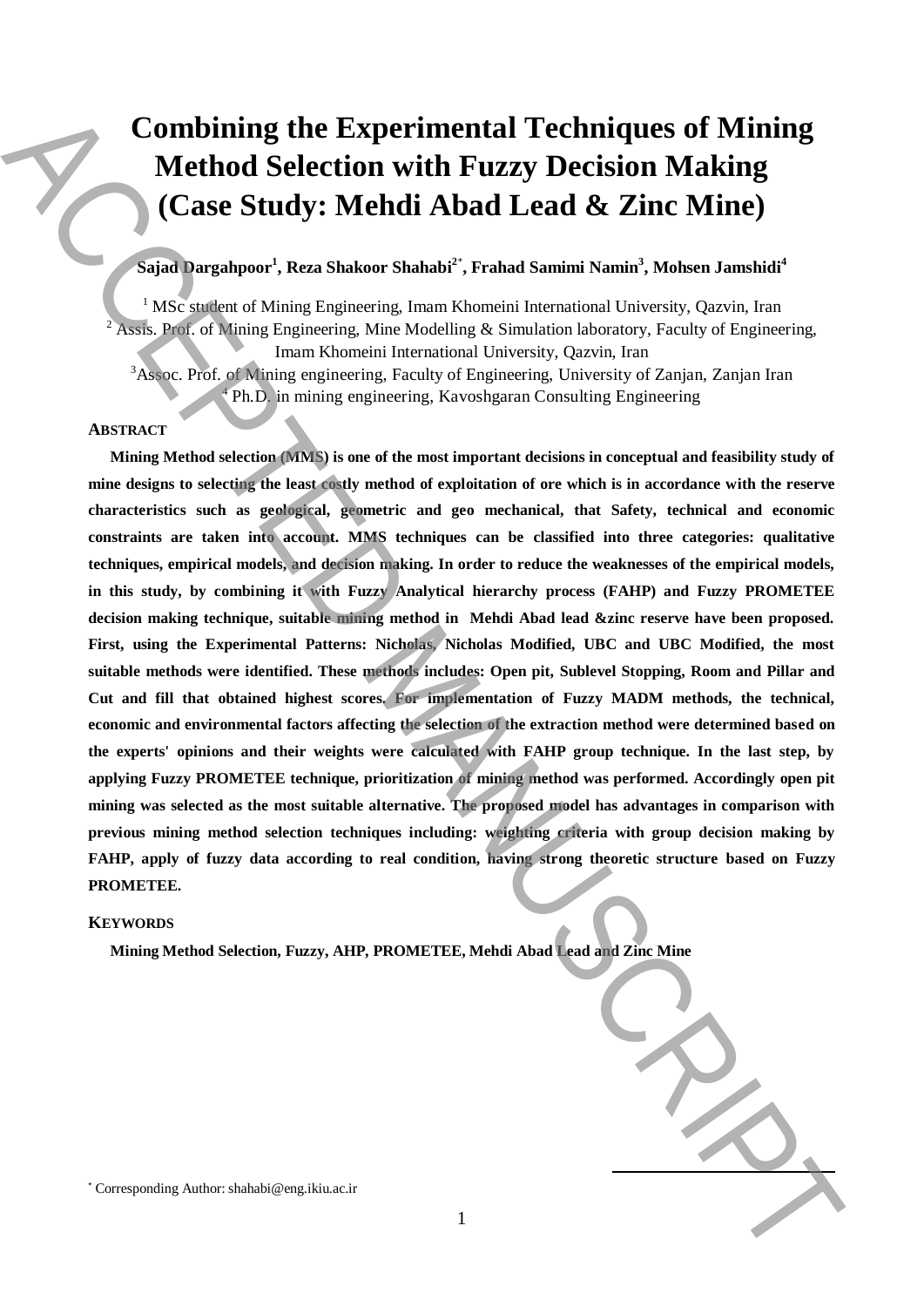# **Combining the Experimental Techniques of Mining Method Selection with Fuzzy Decision Making (Case Study: Mehdi Abad Lead & Zinc Mine)**

# **Sajad Dargahpoor<sup>1</sup> , Reza Shakoor Shahabi<sup>2</sup>**\* **, Frahad Samimi Namin<sup>3</sup> , Mohsen Jamshidi<sup>4</sup>**

<sup>1</sup> MSc student of Mining Engineering, Imam Khomeini International University, Qazvin, Iran <sup>2</sup> Assis. Prof. of Mining Engineering, Mine Modelling & Simulation laboratory, Faculty of Engineering, Imam Khomeini International University, Qazvin, Iran

<sup>3</sup>Assoc. Prof. of Mining engineering, Faculty of Engineering, University of Zanjan, Zanjan Iran <sup>4</sup> Ph.D. in mining engineering, Kavoshgaran Consulting Engineering

## **ABSTRACT**

**Mining Method selection (MMS) is one of the most important decisions in conceptual and feasibility study of mine designs to selecting the least costly method of exploitation of ore which is in accordance with the reserve characteristics such as geological, geometric and geo mechanical, that Safety, technical and economic constraints are taken into account. MMS techniques can be classified into three categories: qualitative techniques, empirical models, and decision making. In order to reduce the weaknesses of the empirical models, in this study, by combining it with Fuzzy Analytical hierarchy process (FAHP) and Fuzzy PROMETEE decision making technique, suitable mining method in Mehdi Abad lead &zinc reserve have been proposed. First, using the Experimental Patterns: Nicholas, Nicholas Modified, UBC and UBC Modified, the most suitable methods were identified. These methods includes: Open pit, Sublevel Stopping, Room and Pillar and Cut and fill that obtained highest scores. For implementation of Fuzzy MADM methods, the technical, economic and environmental factors affecting the selection of the extraction method were determined based on the experts' opinions and their weights were calculated with FAHP group technique. In the last step, by applying Fuzzy PROMETEE technique, prioritization of mining method was performed. Accordingly open pit mining was selected as the most suitable alternative. The proposed model has advantages in comparison with previous mining method selection techniques including: weighting criteria with group decision making by FAHP, apply of fuzzy data according to real condition, having strong theoretic structure based on Fuzzy PROMETEE.**  Combining the Experimental Techniques of Mining<br>
Method Selection with Fuzzy Decision Making<br>
(Case Study: Mehdi Abad Lead & Zinc Mine)<br>
(Since  $\frac{1}{2}$  and  $\frac{1}{2}$  and  $\frac{1}{2}$  and  $\frac{1}{2}$  and  $\frac{1}{2}$  and  $\frac{1}{2$ 

1

### **KEYWORDS**

**Mining Method Selection, Fuzzy, AHP, PROMETEE, Mehdi Abad Lead and Zinc Mine**

**.**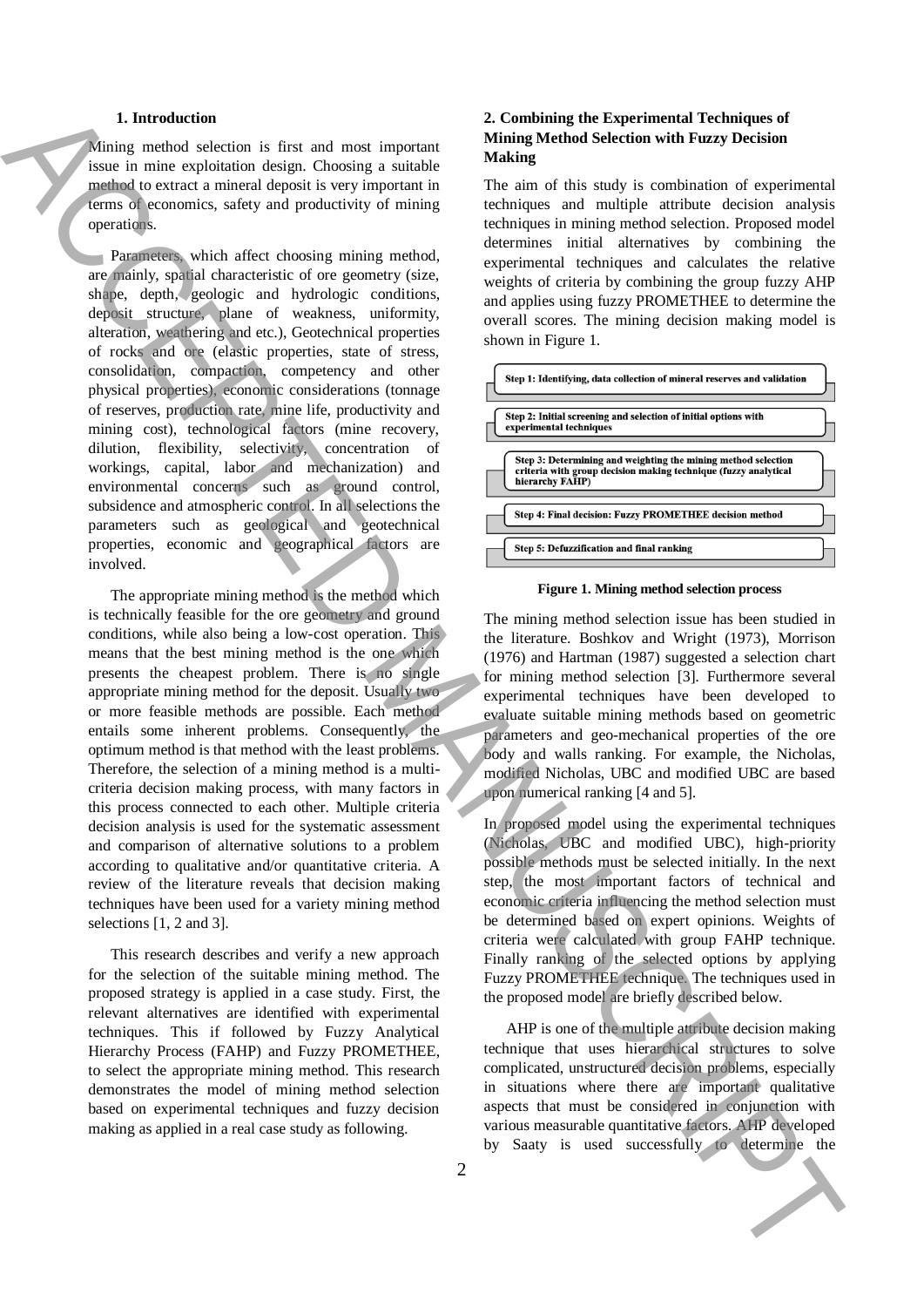#### **1. Introduction**

Mining method selection is first and most important issue in mine exploitation design. Choosing a suitable method to extract a mineral deposit is very important in terms of economics, safety and productivity of mining operations.

Parameters, which affect choosing mining method, are mainly, spatial characteristic of ore geometry (size, shape, depth, geologic and hydrologic conditions, deposit structure, plane of weakness, uniformity, alteration, weathering and etc.), Geotechnical properties of rocks and ore (elastic properties, state of stress, consolidation, compaction, competency and other physical properties), economic considerations (tonnage of reserves, production rate, mine life, productivity and mining cost), technological factors (mine recovery, dilution, flexibility, selectivity, concentration of workings, capital, labor and mechanization) and environmental concerns such as ground control, subsidence and atmospheric control. In all selections the parameters such as geological and geotechnical properties, economic and geographical factors are involved.

The appropriate mining method is the method which is technically feasible for the ore geometry and ground conditions, while also being a low-cost operation. This means that the best mining method is the one which presents the cheapest problem. There is no single appropriate mining method for the deposit. Usually two or more feasible methods are possible. Each method entails some inherent problems. Consequently, the optimum method is that method with the least problems. Therefore, the selection of a mining method is a multicriteria decision making process, with many factors in this process connected to each other. Multiple criteria decision analysis is used for the systematic assessment and comparison of alternative solutions to a problem according to qualitative and/or quantitative criteria. A review of the literature reveals that decision making techniques have been used for a variety mining method selections [1, 2 and 3]. A linear statement is used to determine the continuum in the successfully to determine the ACCEPTER (Continuum in the ACCEPTER CONTINUES) and the ACCEPTER CONTINUES (Note that the ACCEPTER CONTINUES) and the ACCEPTER CONT

This research describes and verify a new approach for the selection of the suitable mining method. The proposed strategy is applied in a case study. First, the relevant alternatives are identified with experimental techniques. This if followed by Fuzzy Analytical Hierarchy Process (FAHP) and Fuzzy PROMETHEE, to select the appropriate mining method. This research demonstrates the model of mining method selection based on experimental techniques and fuzzy decision making as applied in a real case study as following.

## **2. Combining the Experimental Techniques of Mining Method Selection with Fuzzy Decision Making**

The aim of this study is combination of experimental techniques and multiple attribute decision analysis techniques in mining method selection. Proposed model determines initial alternatives by combining the experimental techniques and calculates the relative weights of criteria by combining the group fuzzy AHP and applies using fuzzy PROMETHEE to determine the overall scores. The mining decision making model is shown in Figure 1.



**Figure 1. Mining method selection process**

The mining method selection issue has been studied in the literature. Boshkov and Wright (1973), Morrison (1976) and Hartman (1987) suggested a selection chart for mining method selection [3]. Furthermore several experimental techniques have been developed to evaluate suitable mining methods based on geometric parameters and geo-mechanical properties of the ore body and walls ranking. For example, the Nicholas, modified Nicholas, UBC and modified UBC are based upon numerical ranking [4 and 5].

In proposed model using the experimental techniques (Nicholas, UBC and modified UBC), high-priority possible methods must be selected initially. In the next step, the most important factors of technical and economic criteria influencing the method selection must be determined based on expert opinions. Weights of criteria were calculated with group FAHP technique. Finally ranking of the selected options by applying Fuzzy PROMETHEE technique. The techniques used in the proposed model are briefly described below.

AHP is one of the multiple attribute decision making technique that uses hierarchical structures to solve complicated, unstructured decision problems, especially in situations where there are important qualitative aspects that must be considered in conjunction with various measurable quantitative factors. AHP developed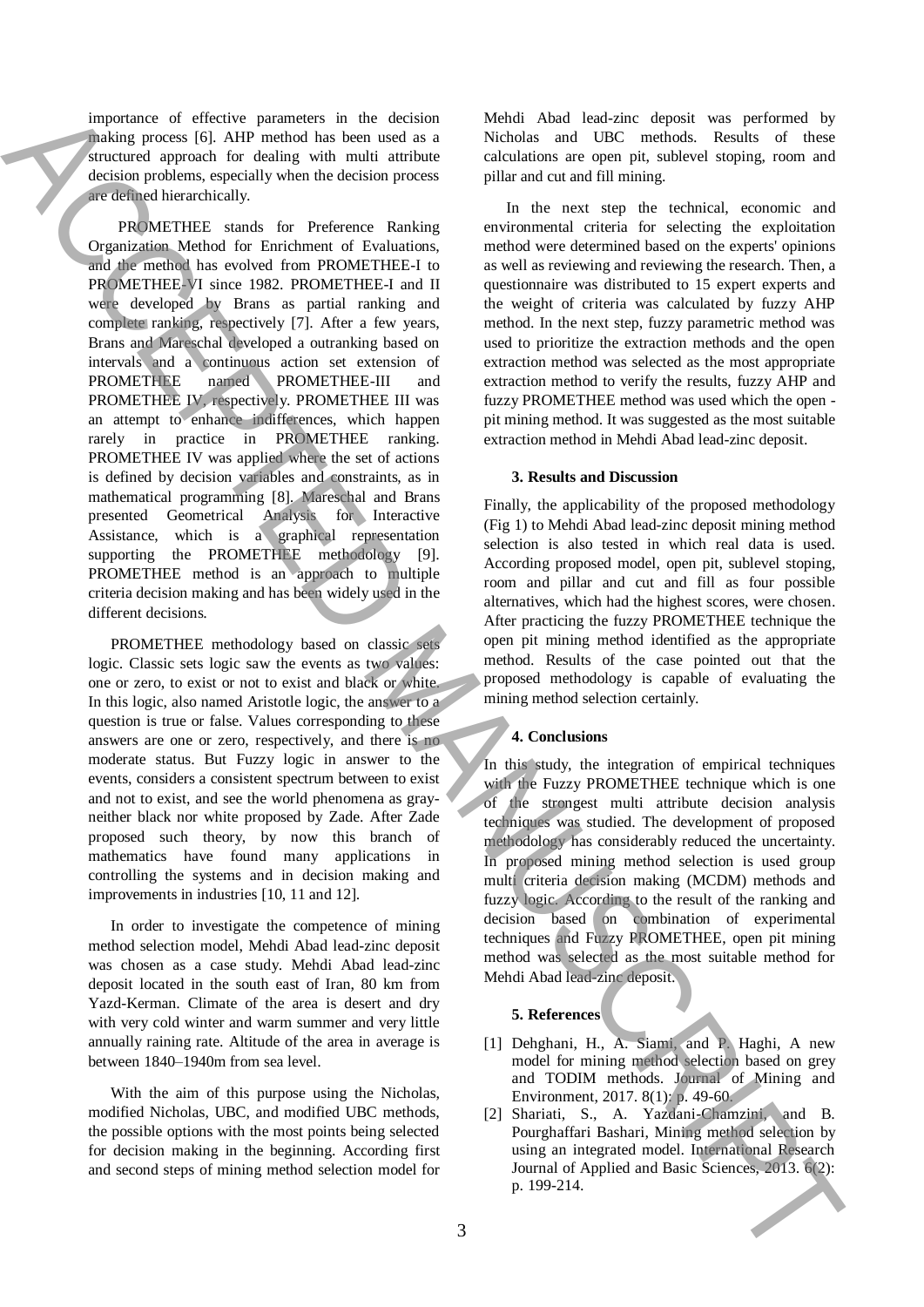importance of effective parameters in the decision making process [6]. AHP method has been used as a structured approach for dealing with multi attribute decision problems, especially when the decision process are defined hierarchically.

 PROMETHEE stands for Preference Ranking Organization Method for Enrichment of Evaluations, and the method has evolved from PROMETHEE-I to PROMETHEE-VI since 1982. PROMETHEE-I and II were developed by Brans as partial ranking and complete ranking, respectively [7]. After a few years, Brans and Mareschal developed a outranking based on intervals and a continuous action set extension of PROMETHEE named PROMETHEE-III and PROMETHEE IV, respectively. PROMETHEE III was an attempt to enhance indifferences, which happen rarely in practice in PROMETHEE ranking. PROMETHEE IV was applied where the set of actions is defined by decision variables and constraints, as in mathematical programming [8]. Mareschal and Brans presented Geometrical Analysis for Interactive Assistance, which is a graphical representation supporting the PROMETHEE methodology [9]. PROMETHEE method is an approach to multiple criteria decision making and has been widely used in the different decisions. metrics of effects of the content of effects of the content of the content of the content of the content of the content of the content of the content of the content of the content of the content of the content of the cont

PROMETHEE methodology based on classic sets logic. Classic sets logic saw the events as two values: one or zero, to exist or not to exist and black or white. In this logic, also named Aristotle logic, the answer to a question is true or false. Values corresponding to these answers are one or zero, respectively, and there is no moderate status. But Fuzzy logic in answer to the events, considers a consistent spectrum between to exist and not to exist, and see the world phenomena as grayneither black nor white proposed by Zade. After Zade proposed such theory, by now this branch of mathematics have found many applications in controlling the systems and in decision making and improvements in industries [10, 11 and 12].

In order to investigate the competence of mining method selection model, Mehdi Abad lead-zinc deposit was chosen as a case study. Mehdi Abad lead-zinc deposit located in the south east of Iran, 80 km from Yazd-Kerman. Climate of the area is desert and dry with very cold winter and warm summer and very little annually raining rate. Altitude of the area in average is between 1840–1940m from sea level.

With the aim of this purpose using the Nicholas, modified Nicholas, UBC, and modified UBC methods, the possible options with the most points being selected for decision making in the beginning. According first and second steps of mining method selection model for

Mehdi Abad lead-zinc deposit was performed by Nicholas and UBC methods. Results of these calculations are open pit, sublevel stoping, room and pillar and cut and fill mining.

In the next step the technical, economic and environmental criteria for selecting the exploitation method were determined based on the experts' opinions as well as reviewing and reviewing the research. Then, a questionnaire was distributed to 15 expert experts and the weight of criteria was calculated by fuzzy AHP method. In the next step, fuzzy parametric method was used to prioritize the extraction methods and the open extraction method was selected as the most appropriate extraction method to verify the results, fuzzy AHP and fuzzy PROMETHEE method was used which the open pit mining method. It was suggested as the most suitable extraction method in Mehdi Abad lead-zinc deposit.

#### **3. Results and Discussion**

Finally, the applicability of the proposed methodology (Fig 1) to Mehdi Abad lead-zinc deposit mining method selection is also tested in which real data is used. According proposed model, open pit, sublevel stoping, room and pillar and cut and fill as four possible alternatives, which had the highest scores, were chosen. After practicing the fuzzy PROMETHEE technique the open pit mining method identified as the appropriate method. Results of the case pointed out that the proposed methodology is capable of evaluating the mining method selection certainly.

#### **4. Conclusions**

In this study, the integration of empirical techniques with the Fuzzy PROMETHEE technique which is one of the strongest multi attribute decision analysis techniques was studied. The development of proposed methodology has considerably reduced the uncertainty. In proposed mining method selection is used group multi criteria decision making (MCDM) methods and fuzzy logic. According to the result of the ranking and decision based on combination of experimental techniques and Fuzzy PROMETHEE, open pit mining method was selected as the most suitable method for Mehdi Abad lead-zinc deposit.

#### **5. References**

- [1] Dehghani, H., A. Siami, and P. Haghi, A new model for mining method selection based on grey and TODIM methods. Journal of Mining and Environment, 2017. 8(1): p. 49-60.
- [2] Shariati, S., A. Yazdani-Chamzini, and B. Pourghaffari Bashari, Mining method selection by using an integrated model. International Research Journal of Applied and Basic Sciences, 2013. 6(2):